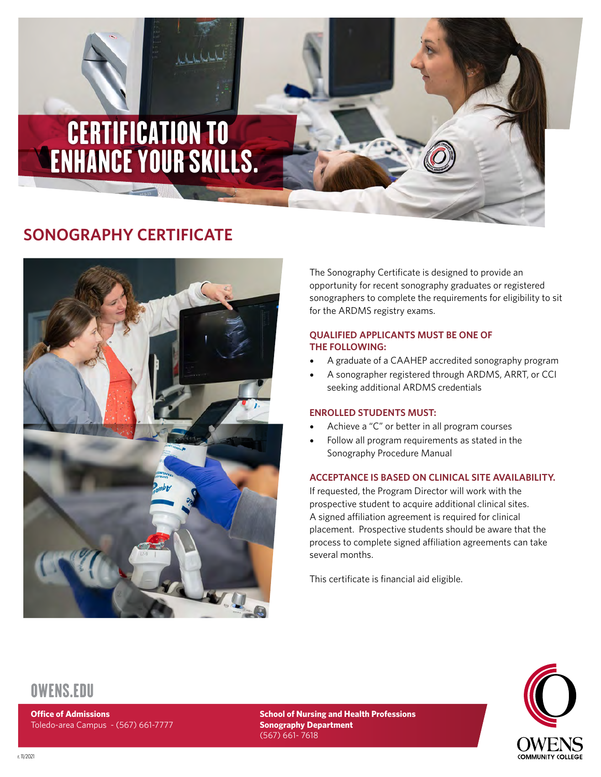# CERTIFICATION TO ENHANCE YOUR SKILLS.

# **SONOGRAPHY CERTIFICATE**



The Sonography Certificate is designed to provide an opportunity for recent sonography graduates or registered sonographers to complete the requirements for eligibility to sit for the ARDMS registry exams.

#### **QUALIFIED APPLICANTS MUST BE ONE OF THE FOLLOWING:**

- A graduate of a CAAHEP accredited sonography program
- A sonographer registered through ARDMS, ARRT, or CCI seeking additional ARDMS credentials

#### **ENROLLED STUDENTS MUST:**

- Achieve a "C" or better in all program courses
- Follow all program requirements as stated in the Sonography Procedure Manual

#### **ACCEPTANCE IS BASED ON CLINICAL SITE AVAILABILITY.**

If requested, the Program Director will work with the prospective student to acquire additional clinical sites. A signed affiliation agreement is required for clinical placement. Prospective students should be aware that the process to complete signed affiliation agreements can take several months.

This certificate is financial aid eligible.



## [OWENS.EDU](https://www.owens.edu)

**Office of Admissions**  Toledo-area Campus - (567) 661-7777

**School of Nursing and Health Professions Sonography Department** (567) 661- 7618